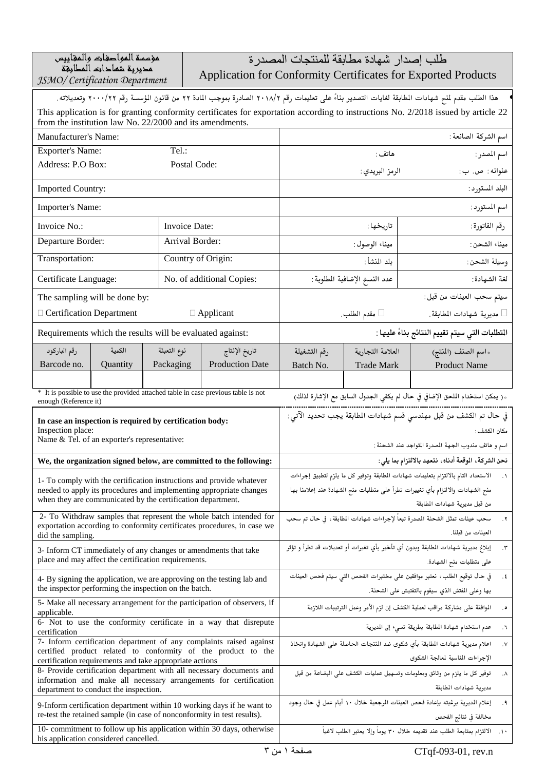| مؤسسة المواحفات والمقاييس            |
|--------------------------------------|
| مديرية شماحات المطابقة               |
| <b>JSMO/Certification Department</b> |

طلب إصدار شهادة مطابقة للمنتجات المصدرة

Application for Conformity Certificates for Exported Products

| هذا الطلب مقدم لمنح شهادات المطابقة لغايات التصدير بناءً على تعليمات رقم ٢١١٨/٢ الصادرة بموجب المادة ٢٢ من قانون المؤسسة رقم ٢٢٠٠٠/٢٢ وتعديلاته.                                               |                                                                         |                                                                                   |                                                                                                                                |                                                                                                              |                                                                                                         |    |
|------------------------------------------------------------------------------------------------------------------------------------------------------------------------------------------------|-------------------------------------------------------------------------|-----------------------------------------------------------------------------------|--------------------------------------------------------------------------------------------------------------------------------|--------------------------------------------------------------------------------------------------------------|---------------------------------------------------------------------------------------------------------|----|
| This application is for granting conformity certificates for exportation according to instructions No. 2/2018 issued by article 22<br>from the institution law No. 22/2000 and its amendments. |                                                                         |                                                                                   |                                                                                                                                |                                                                                                              |                                                                                                         |    |
| Manufacturer's Name:                                                                                                                                                                           |                                                                         |                                                                                   | اسم الشركة الصانعة :                                                                                                           |                                                                                                              |                                                                                                         |    |
| <b>Exporter's Name:</b>                                                                                                                                                                        | Tel.:                                                                   |                                                                                   |                                                                                                                                | هاتف :                                                                                                       | اسم المدر:                                                                                              |    |
| Address: P.O Box:                                                                                                                                                                              | Postal Code:                                                            |                                                                                   | الرمز البريدي :<br>عنوانه : ص. ب :                                                                                             |                                                                                                              |                                                                                                         |    |
| <b>Imported Country:</b>                                                                                                                                                                       |                                                                         |                                                                                   | البلد المستورد :                                                                                                               |                                                                                                              |                                                                                                         |    |
| Importer's Name:                                                                                                                                                                               |                                                                         |                                                                                   | اسم المستورد :                                                                                                                 |                                                                                                              |                                                                                                         |    |
| Invoice No.:                                                                                                                                                                                   | Invoice Date:                                                           |                                                                                   | تاريخها :                                                                                                                      |                                                                                                              | رقم الفاتورة:                                                                                           |    |
| Departure Border:                                                                                                                                                                              | Arrival Border:                                                         |                                                                                   |                                                                                                                                | ميناء الوصول:                                                                                                | ميناء الشحن:                                                                                            |    |
| Transportation:                                                                                                                                                                                | Country of Origin:                                                      |                                                                                   |                                                                                                                                | بلد المنشأ:                                                                                                  | وسيلة الشحن:                                                                                            |    |
| Certificate Language:                                                                                                                                                                          |                                                                         | No. of additional Copies:                                                         | عدد النسخ الإضافية المطلوبة :                                                                                                  |                                                                                                              | لغة الشهادة:                                                                                            |    |
| The sampling will be done by:                                                                                                                                                                  |                                                                         |                                                                                   |                                                                                                                                |                                                                                                              | سيتم سحب العينات من قبل:                                                                                |    |
| $\Box$ Certification Department                                                                                                                                                                |                                                                         | $\Box$ Applicant                                                                  |                                                                                                                                | □ مقدم الطلب.                                                                                                | □ مديرية شهادات المطابقة.                                                                               |    |
| Requirements which the results will be evaluated against:                                                                                                                                      |                                                                         |                                                                                   |                                                                                                                                |                                                                                                              | المتطلبات التي سيتم تقييم النتائج بناءً عليها :                                                         |    |
| رقم الباركود<br>الكمية                                                                                                                                                                         | نوع التعبئة                                                             | تاريخ الإنتاج                                                                     | رقم التشغيلة                                                                                                                   | العلامة التجارية                                                                                             | ١سم الصنف (المنتج)                                                                                      |    |
| Barcode no.<br>Quantity                                                                                                                                                                        | Packaging                                                               | <b>Production Date</b>                                                            | Batch No.                                                                                                                      | <b>Trade Mark</b>                                                                                            | <b>Product Name</b>                                                                                     |    |
| * It is possible to use the provided attached table in case previous table is not                                                                                                              |                                                                         |                                                                                   |                                                                                                                                |                                                                                                              |                                                                                                         |    |
| enough (Reference it)                                                                                                                                                                          |                                                                         |                                                                                   |                                                                                                                                |                                                                                                              | « ( يمكن استخدام الملحق الإضافي في حال لم يكفي الجدول السابق مع الإشارة لذلك)                           |    |
| In case an inspection is required by certification body:<br>Inspection place:                                                                                                                  |                                                                         | في حال تم الكشف من قبل مهندسي قسم شهادات المطابقة يجب تحديد الآتى:<br>مكان الكشف: |                                                                                                                                |                                                                                                              |                                                                                                         |    |
| Name & Tel. of an exporter's representative:                                                                                                                                                   |                                                                         | اسم و هاتف مندوب الجهة المدرة التواجد عند الشحنة :                                |                                                                                                                                |                                                                                                              |                                                                                                         |    |
| We, the organization signed below, are committed to the following:                                                                                                                             |                                                                         | نحن الشركة، الموقعة أدناه، نتعهد بالالتزام بما يلي:                               |                                                                                                                                |                                                                                                              |                                                                                                         |    |
| 1- To comply with the certification instructions and provide whatever                                                                                                                          |                                                                         |                                                                                   | الاستعداد التام بالالتزام بتعليمات شهادات المطابقة وتوفير كل ما يلزم لتطبيق إجراءات<br>$\cdot$                                 |                                                                                                              |                                                                                                         |    |
| needed to apply its procedures and implementing appropriate changes<br>when they are communicated by the certification department.                                                             |                                                                         |                                                                                   | منح الشهادات والالتزام بأي تغييرات تطرأ على متطلبات منح الشهادة عند إعلامنا بها                                                |                                                                                                              |                                                                                                         |    |
|                                                                                                                                                                                                | 2- To Withdraw samples that represent the whole batch intended for      |                                                                                   |                                                                                                                                | من قبل مديرية شهادات المطابقة<br>سحب عينات تمثل الشحنة المدرة تبعاً لإجراءات شهادات المطابقة ، في حال تم سحب |                                                                                                         |    |
| did the sampling.                                                                                                                                                                              | exportation according to conformity certificates procedures, in case we |                                                                                   |                                                                                                                                | ۰۲.<br>العينات من قبلنا.                                                                                     |                                                                                                         |    |
| 3- Inform CT immediately of any changes or amendments that take                                                                                                                                |                                                                         |                                                                                   | إبلاغ مديرية شهادات المطابقة وبدون أي تأخير بأي تغيرات أو تعديلات قد تطرأ و تؤثر<br>$\cdot$ ۳                                  |                                                                                                              |                                                                                                         |    |
| place and may affect the certification requirements.                                                                                                                                           |                                                                         |                                                                                   | على متطلبات منح الشهادة.                                                                                                       |                                                                                                              |                                                                                                         |    |
| 4- By signing the application, we are approving on the testing lab and<br>the inspector performing the inspection on the batch.                                                                |                                                                         |                                                                                   | في حال توقيع الطلب، نعتبر موافقين على مختبرات الفحص التي سيتم فحص العينات<br>$\cdot$                                           |                                                                                                              |                                                                                                         |    |
| 5- Make all necessary arrangement for the participation of observers, if                                                                                                                       |                                                                         |                                                                                   | بها وعلى المفتش الذي سيقوم بالتفتيش على الشحنة.                                                                                |                                                                                                              |                                                                                                         |    |
| applicable.<br>6- Not to use the conformity certificate in a way that disrepute                                                                                                                |                                                                         |                                                                                   | الموافقة على مشاركة مراقب لعملية الكشف إن لزم الأمر وعمل الترتيبات اللازمة<br>. $\bullet$                                      |                                                                                                              |                                                                                                         |    |
| certification<br>7- Inform certification department of any complaints raised against                                                                                                           |                                                                         |                                                                                   | عدم استخدام شهادة المطابقة بطريقة تسيء إلى المديرية<br>$\cdot$                                                                 |                                                                                                              |                                                                                                         |    |
| certified product related to conformity of the product to the                                                                                                                                  |                                                                         |                                                                                   | اعلام مديرية شهادات المطابقة بأي شكوى ضد المنتجات الحاصلة على الشهادة واتخاذ<br>$\cdot$ V<br>الإجراءات المناسبة لمعالجة الشكوى |                                                                                                              |                                                                                                         |    |
| certification requirements and take appropriate actions<br>8- Provide certification department with all necessary documents and                                                                |                                                                         |                                                                                   | توفير كل ما يلزم من وثائق ومعلومات وتسهيل عمليات الكشف على البضاعة من قبل<br>۰۸.                                               |                                                                                                              |                                                                                                         |    |
| information and make all necessary arrangements for certification<br>department to conduct the inspection.                                                                                     |                                                                         |                                                                                   | مديرية شهادات المطابقة                                                                                                         |                                                                                                              |                                                                                                         |    |
| 9-Inform certification department within 10 working days if he want to                                                                                                                         |                                                                         |                                                                                   |                                                                                                                                |                                                                                                              | إعلام الديرية برغبته بإعادة فحص العينات المرجعية خلال ١٠ أيام عمل في حال وجود                           | .9 |
| re-test the retained sample (in case of nonconformity in test results).<br>10- commitment to follow up his application within 30 days, otherwise                                               |                                                                         |                                                                                   |                                                                                                                                |                                                                                                              | مخالفة في نتائج الفحص<br>١٠.    الالتزام بمتابعة الطلب عند تقديمه خلال ٣٠ يوماً وإلا يعتبر الطلب لاغياً |    |
| his application considered cancelled.                                                                                                                                                          |                                                                         |                                                                                   |                                                                                                                                |                                                                                                              |                                                                                                         |    |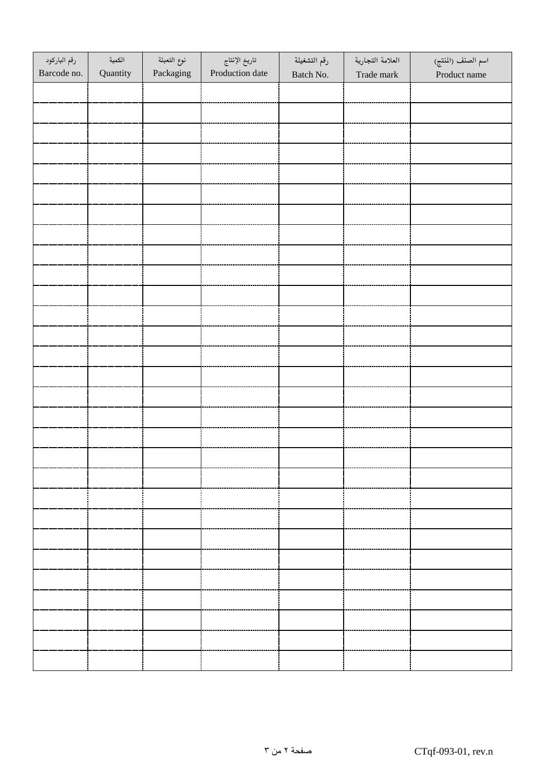| رقم الباركود<br>Barcode no. | الكمية<br>Quantity | نوع التعبئة<br>Packaging | تاريخ الإنتاج<br>Production date | رقم التشغيلة<br>Batch No. | العلامة التجارية<br>Trade mark | اسم الصنف (المنتج)<br>Product name |
|-----------------------------|--------------------|--------------------------|----------------------------------|---------------------------|--------------------------------|------------------------------------|
|                             |                    |                          |                                  |                           |                                |                                    |
|                             |                    |                          |                                  |                           |                                |                                    |
|                             |                    |                          |                                  |                           |                                |                                    |
|                             |                    |                          |                                  |                           |                                |                                    |
|                             |                    |                          |                                  |                           |                                |                                    |
|                             |                    |                          |                                  |                           |                                |                                    |
|                             |                    |                          |                                  |                           |                                |                                    |
|                             |                    |                          |                                  |                           |                                |                                    |
|                             |                    |                          |                                  |                           |                                |                                    |
|                             |                    |                          |                                  |                           |                                |                                    |
|                             |                    |                          |                                  |                           |                                |                                    |
|                             |                    |                          |                                  |                           |                                |                                    |
|                             |                    |                          |                                  |                           |                                |                                    |
|                             |                    |                          |                                  |                           |                                |                                    |
|                             |                    |                          |                                  |                           |                                |                                    |
|                             |                    |                          |                                  |                           |                                |                                    |
|                             |                    |                          |                                  |                           |                                |                                    |
|                             |                    |                          |                                  |                           |                                |                                    |
|                             |                    |                          |                                  |                           |                                |                                    |
|                             |                    |                          |                                  |                           |                                |                                    |
|                             |                    |                          |                                  |                           |                                |                                    |
|                             |                    |                          |                                  |                           |                                |                                    |
|                             |                    |                          |                                  |                           |                                |                                    |
|                             |                    |                          |                                  |                           |                                |                                    |
|                             |                    |                          |                                  |                           |                                |                                    |
|                             |                    |                          |                                  |                           |                                |                                    |
|                             |                    |                          |                                  |                           |                                |                                    |
|                             |                    |                          |                                  |                           |                                |                                    |
|                             |                    |                          |                                  |                           |                                |                                    |